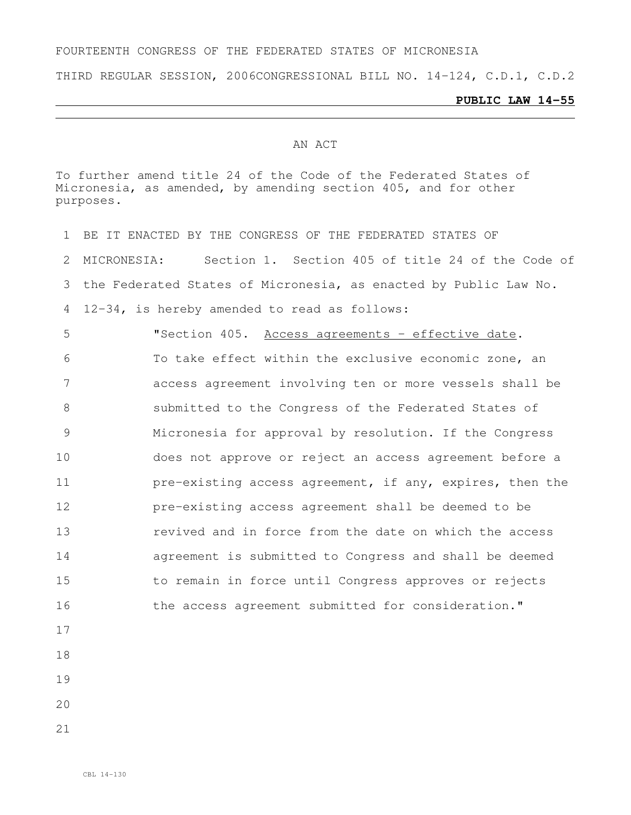### FOURTEENTH CONGRESS OF THE FEDERATED STATES OF MICRONESIA

THIRD REGULAR SESSION, 2006CONGRESSIONAL BILL NO. 14-124, C.D.1, C.D.2

#### **PUBLIC LAW 14-55**

#### AN ACT

To further amend title 24 of the Code of the Federated States of Micronesia, as amended, by amending section 405, and for other purposes.

- BE IT ENACTED BY THE CONGRESS OF THE FEDERATED STATES OF MICRONESIA: Section 1. Section 405 of title 24 of the Code of the Federated States of Micronesia, as enacted by Public Law No. 12-34, is hereby amended to read as follows: "Section 405. Access agreements - effective date. To take effect within the exclusive economic zone, an access agreement involving ten or more vessels shall be submitted to the Congress of the Federated States of Micronesia for approval by resolution. If the Congress does not approve or reject an access agreement before a **pre-existing access agreement, if any, expires, then the**  pre-existing access agreement shall be deemed to be revived and in force from the date on which the access agreement is submitted to Congress and shall be deemed to remain in force until Congress approves or rejects 16 the access agreement submitted for consideration."
- 
- 
- 
- 
-